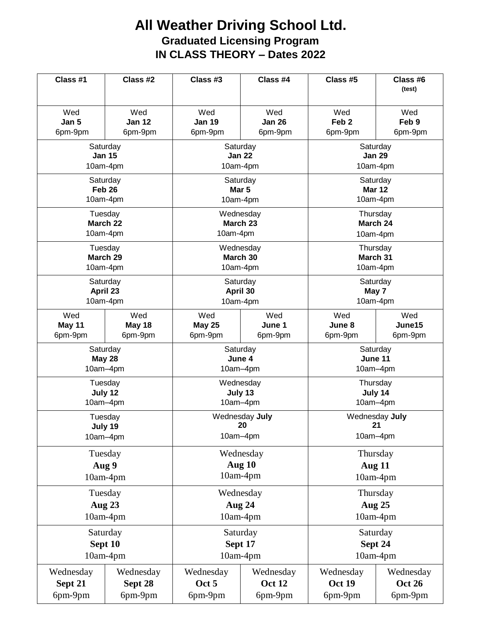## **All Weather Driving School Ltd. Graduated Licensing Program IN CLASS THEORY – Dates 2022**

| Class #1          | Class #2      | Class #3       | Class #4      | Class #5         | Class #6<br>(test) |
|-------------------|---------------|----------------|---------------|------------------|--------------------|
| Wed               | Wed           | Wed            | Wed           | Wed              | Wed                |
| Jan 5             | Jan 12        | <b>Jan 19</b>  | <b>Jan 26</b> | Feb <sub>2</sub> | Feb 9              |
| 6pm-9pm           | 6pm-9pm       | 6pm-9pm        | 6pm-9pm       | 6pm-9pm          | 6pm-9pm            |
| Saturday          |               | Saturday       |               | Saturday         |                    |
| <b>Jan 15</b>     |               | <b>Jan 22</b>  |               | <b>Jan 29</b>    |                    |
| 10am-4pm          |               | 10am-4pm       |               | 10am-4pm         |                    |
| Saturday          |               | Saturday       |               | Saturday         |                    |
| Feb <sub>26</sub> |               | Mar 5          |               | <b>Mar 12</b>    |                    |
| 10am-4pm          |               | 10am-4pm       |               | 10am-4pm         |                    |
| Tuesday           |               | Wednesday      |               | Thursday         |                    |
| March 22          |               | March 23       |               | March 24         |                    |
| 10am-4pm          |               | 10am-4pm       |               | 10am-4pm         |                    |
| Tuesday           |               | Wednesday      |               | Thursday         |                    |
| March 29          |               | March 30       |               | March 31         |                    |
| 10am-4pm          |               | 10am-4pm       |               | 10am-4pm         |                    |
| Saturday          |               | Saturday       |               | Saturday         |                    |
| April 23          |               | April 30       |               | May 7            |                    |
| 10am-4pm          |               | 10am-4pm       |               | 10am-4pm         |                    |
| Wed               | Wed           | Wed            | Wed           | Wed              | Wed                |
| May 11            | <b>May 18</b> | <b>May 25</b>  | June 1        | June 8           | June15             |
| 6pm-9pm           | 6pm-9pm       | 6pm-9pm        | 6pm-9pm       | 6pm-9pm          | 6pm-9pm            |
| Saturday          |               | Saturday       |               | Saturday         |                    |
| <b>May 28</b>     |               | June 4         |               | June 11          |                    |
| 10am-4pm          |               | 10am-4pm       |               | 10am-4pm         |                    |
| Tuesday           |               | Wednesday      |               | Thursday         |                    |
| July 12           |               | July 13        |               | July 14          |                    |
| 10am-4pm          |               | 10am-4pm       |               | 10am-4pm         |                    |
| Tuesday           |               | Wednesday July |               | Wednesday July   |                    |
| July 19           |               | 20             |               | 21               |                    |
| 10am-4pm          |               | 10am-4pm       |               | 10am-4pm         |                    |
| Tuesday           |               | Wednesday      |               | Thursday         |                    |
| Aug 9             |               | Aug 10         |               | <b>Aug 11</b>    |                    |
| 10am-4pm          |               | $10am-4pm$     |               | 10am-4pm         |                    |
| Tuesday           |               | Wednesday      |               | Thursday         |                    |
| <b>Aug 23</b>     |               | Aug 24         |               | <b>Aug 25</b>    |                    |
| 10am-4pm          |               | 10am-4pm       |               | 10am-4pm         |                    |
| Saturday          |               | Saturday       |               | Saturday         |                    |
| Sept 10           |               | Sept 17        |               | Sept 24          |                    |
| 10am-4pm          |               | 10am-4pm       |               | 10am-4pm         |                    |
| Wednesday         | Wednesday     | Wednesday      | Wednesday     | Wednesday        | Wednesday          |
| Sept 21           | Sept 28       | Oct 5          | <b>Oct 12</b> | <b>Oct 19</b>    | <b>Oct 26</b>      |
| 6pm-9pm           | 6pm-9pm       | 6pm-9pm        | 6pm-9pm       | 6pm-9pm          | 6pm-9pm            |